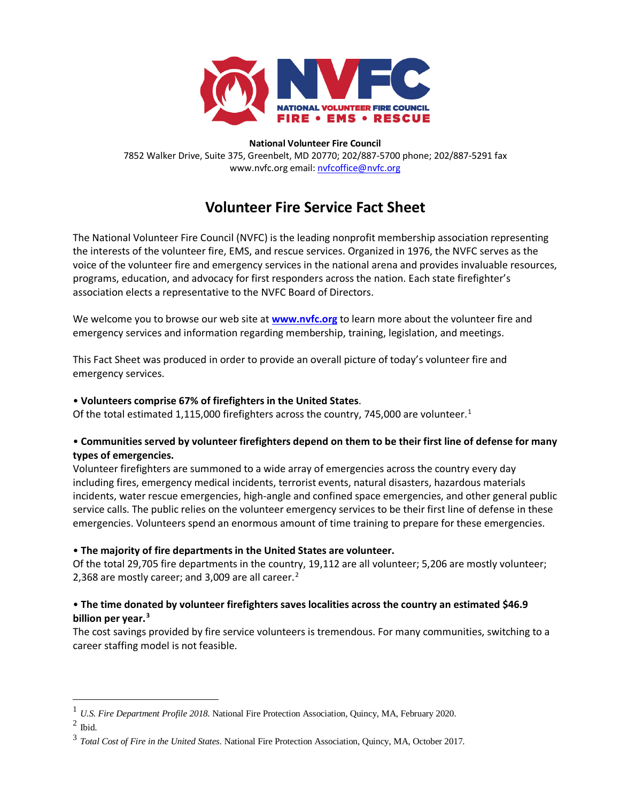

**National Volunteer Fire Council** 7852 Walker Drive, Suite 375, Greenbelt, MD 20770; 202/887-5700 phone; 202/887-5291 fax www.nvfc.org email[: nvfcoffice@nvfc.org](mailto:nvfcoffice@nvfc.org)

# **Volunteer Fire Service Fact Sheet**

The National Volunteer Fire Council (NVFC) is the leading nonprofit membership association representing the interests of the volunteer fire, EMS, and rescue services. Organized in 1976, the NVFC serves as the voice of the volunteer fire and emergency services in the national arena and provides invaluable resources, programs, education, and advocacy for first responders across the nation. Each state firefighter's association elects a representative to the NVFC Board of Directors.

We welcome you to browse our web site at **[www.nvfc.org](http://www.nvfc.org/)** to learn more about the volunteer fire and emergency services and information regarding membership, training, legislation, and meetings.

This Fact Sheet was produced in order to provide an overall picture of today's volunteer fire and emergency services.

#### • **Volunteers comprise 67% of firefighters in the United States**.

Of the total estimated [1](#page-0-0),115,000 firefighters across the country, 745,000 are volunteer.<sup>1</sup>

#### • **Communities served by volunteer firefighters depend on them to be their first line of defense for many types of emergencies.**

Volunteer firefighters are summoned to a wide array of emergencies across the country every day including fires, emergency medical incidents, terrorist events, natural disasters, hazardous materials incidents, water rescue emergencies, high-angle and confined space emergencies, and other general public service calls. The public relies on the volunteer emergency services to be their first line of defense in these emergencies. Volunteers spend an enormous amount of time training to prepare for these emergencies.

#### • **The majority of fire departments in the United States are volunteer.**

Of the total 29,705 fire departments in the country, 19,112 are all volunteer; 5,206 are mostly volunteer; [2](#page-0-1),368 are mostly career; and 3,009 are all career.<sup>2</sup>

#### • **The time donated by volunteer firefighters saves localities across the country an estimated \$46.9 billion per year. [3](#page-0-2)**

The cost savings provided by fire service volunteers is tremendous. For many communities, switching to a career staffing model is not feasible.

<span id="page-0-0"></span><sup>1</sup> *U.S. Fire Department Profile 2018.* National Fire Protection Association, Quincy, MA, February 2020.

<span id="page-0-1"></span> $^2$ Ibid. $\,$ 

<span id="page-0-2"></span><sup>3</sup> *Total Cost of Fire in the United States*. National Fire Protection Association, Quincy, MA, October 2017.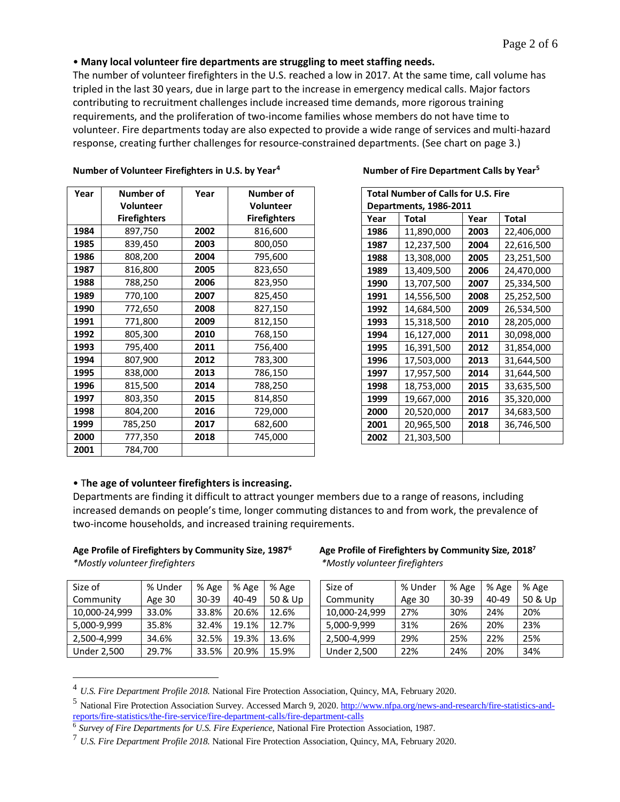#### • **Many local volunteer fire departments are struggling to meet staffing needs.**

The number of volunteer firefighters in the U.S. reached a low in 2017. At the same time, call volume has tripled in the last 30 years, due in large part to the increase in emergency medical calls. Major factors contributing to recruitment challenges include increased time demands, more rigorous training requirements, and the proliferation of two-income families whose members do not have time to volunteer. Fire departments today are also expected to provide a wide range of services and multi-hazard response, creating further challenges for resource-constrained departments. (See chart on page 3.)

| Year | Number of           | Year | <b>Number of</b>    |
|------|---------------------|------|---------------------|
|      | <b>Volunteer</b>    |      | Volunteer           |
|      | <b>Firefighters</b> |      | <b>Firefighters</b> |
| 1984 | 897,750             | 2002 | 816,600             |
| 1985 | 839,450             | 2003 | 800,050             |
| 1986 | 808,200             | 2004 | 795,600             |
| 1987 | 816,800             | 2005 | 823,650             |
| 1988 | 788,250             | 2006 | 823,950             |
| 1989 | 770,100             | 2007 | 825,450             |
| 1990 | 772,650             | 2008 | 827,150             |
| 1991 | 771,800             | 2009 | 812,150             |
| 1992 | 805,300             | 2010 | 768,150             |
| 1993 | 795,400             | 2011 | 756,400             |
| 1994 | 807,900             | 2012 | 783,300             |
| 1995 | 838,000             | 2013 | 786,150             |
| 1996 | 815,500             | 2014 | 788,250             |
| 1997 | 803,350             | 2015 | 814,850             |
| 1998 | 804,200             | 2016 | 729,000             |
| 1999 | 785,250             | 2017 | 682,600             |
| 2000 | 777,350             | 2018 | 745,000             |
| 2001 | 784,700             |      |                     |

**Number of Volunteer Firefighters in U.S. by Year[4](#page-1-0) Number of Fire Department Calls by Year[5](#page-1-1)**

| <b>Total Number of Calls for U.S. Fire</b> |            |      |            |  |
|--------------------------------------------|------------|------|------------|--|
| Departments, 1986-2011                     |            |      |            |  |
| Year                                       | Total      | Year | Total      |  |
| 1986                                       | 11,890,000 | 2003 | 22,406,000 |  |
| 1987                                       | 12,237,500 | 2004 | 22,616,500 |  |
| 1988                                       | 13,308,000 | 2005 | 23,251,500 |  |
| 1989                                       | 13,409,500 | 2006 | 24,470,000 |  |
| 1990                                       | 13,707,500 | 2007 | 25,334,500 |  |
| 1991                                       | 14,556,500 | 2008 | 25,252,500 |  |
| 1992                                       | 14,684,500 | 2009 | 26,534,500 |  |
| 1993                                       | 15,318,500 | 2010 | 28,205,000 |  |
| 1994                                       | 16,127,000 | 2011 | 30,098,000 |  |
| 1995                                       | 16,391,500 | 2012 | 31,854,000 |  |
| 1996                                       | 17,503,000 | 2013 | 31,644,500 |  |
| 1997                                       | 17,957,500 | 2014 | 31,644,500 |  |
| 1998                                       | 18,753,000 | 2015 | 33,635,500 |  |
| 1999                                       | 19,667,000 | 2016 | 35,320,000 |  |
| 2000                                       | 20,520,000 | 2017 | 34,683,500 |  |
| 2001                                       | 20,965,500 | 2018 | 36,746,500 |  |
| 2002                                       | 21,303,500 |      |            |  |

#### • T**he age of volunteer firefighters is increasing.**

Departments are finding it difficult to attract younger members due to a range of reasons, including increased demands on people's time, longer commuting distances to and from work, the prevalence of two-income households, and increased training requirements.

# **Age Profile of Firefighters by Community Size, 1987[6](#page-1-2) Age Profile of Firefighters by Community Size, 2018**

| Size of            | % Under | % Age | % Age     | % Age   |
|--------------------|---------|-------|-----------|---------|
| Community          | Age 30  | 30-39 | $40 - 49$ | 50 & Up |
| 10,000-24,999      | 33.0%   | 33.8% | 20.6%     | 12.6%   |
| 5,000-9,999        | 35.8%   | 32.4% | 19.1%     | 12.7%   |
| 2,500-4,999        | 34.6%   | 32.5% | 19.3%     | 13.6%   |
| <b>Under 2,500</b> | 29.7%   | 33.5% | 20.9%     | 15.9%   |

#### Age Profile of Firefighters by Community Size, 2018<sup>7</sup> *\*Mostly volunteer firefighters \*Mostly volunteer firefighters*

| Size of            | % Under | % Age | % Age | % Age   |
|--------------------|---------|-------|-------|---------|
| Community          | Age 30  | 30-39 | 40-49 | 50 & Up |
| 10,000-24,999      | 27%     | 30%   | 24%   | 20%     |
| 5,000-9,999        | 31%     | 26%   | 20%   | 23%     |
| 2,500-4,999        | 29%     | 25%   | 22%   | 25%     |
| <b>Under 2,500</b> | 22%     | 24%   | 20%   | 34%     |

<span id="page-1-0"></span><sup>4</sup> *U.S. Fire Department Profile 2018.* National Fire Protection Association, Quincy, MA, February 2020.

<span id="page-1-1"></span><sup>&</sup>lt;sup>5</sup> National Fire Protection Association Survey. Accessed March 9, 2020[. http://www.nfpa.org/news-and-research/fire-statistics-and](http://www.nfpa.org/news-and-research/fire-statistics-and-reports/fire-statistics/the-fire-service/fire-department-calls/fire-department-calls)[reports/fire-statistics/the-fire-service/fire-department-calls/fire-department-calls](http://www.nfpa.org/news-and-research/fire-statistics-and-reports/fire-statistics/the-fire-service/fire-department-calls/fire-department-calls)

<span id="page-1-2"></span><sup>6</sup> *Survey of Fire Departments for U.S. Fire Experience*, National Fire Protection Association, 1987.

<sup>7</sup> *U.S. Fire Department Profile 2018.* National Fire Protection Association, Quincy, MA, February 2020.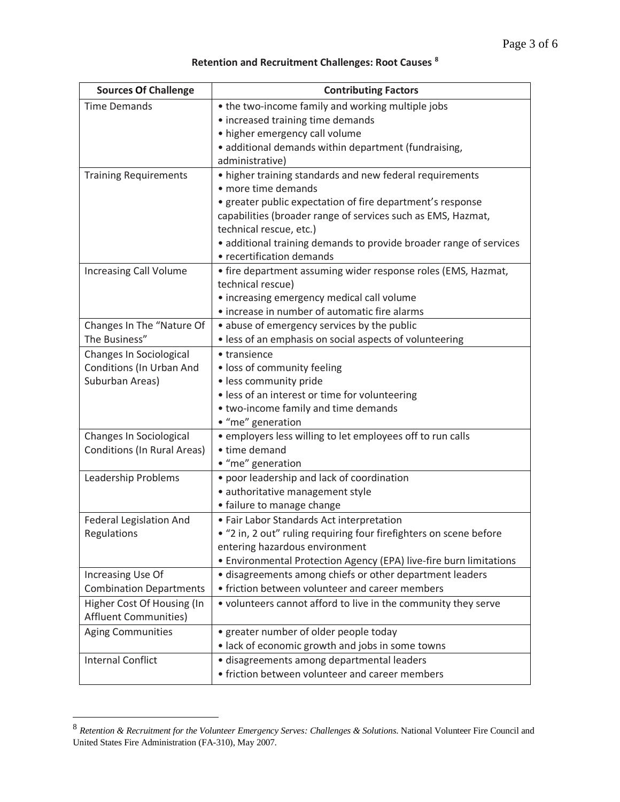## **Retention and Recruitment Challenges: Root Causes [8](#page-2-0)**

| <b>Sources Of Challenge</b>        | <b>Contributing Factors</b>                                                        |
|------------------------------------|------------------------------------------------------------------------------------|
| <b>Time Demands</b>                | • the two-income family and working multiple jobs                                  |
|                                    | • increased training time demands                                                  |
|                                    | • higher emergency call volume                                                     |
|                                    | · additional demands within department (fundraising,                               |
|                                    | administrative)                                                                    |
| <b>Training Requirements</b>       | • higher training standards and new federal requirements                           |
|                                    | • more time demands                                                                |
|                                    | • greater public expectation of fire department's response                         |
|                                    | capabilities (broader range of services such as EMS, Hazmat,                       |
|                                    | technical rescue, etc.)                                                            |
|                                    | · additional training demands to provide broader range of services                 |
|                                    | • recertification demands                                                          |
| <b>Increasing Call Volume</b>      | • fire department assuming wider response roles (EMS, Hazmat,<br>technical rescue) |
|                                    | • increasing emergency medical call volume                                         |
|                                    | • increase in number of automatic fire alarms                                      |
| Changes In The "Nature Of          | • abuse of emergency services by the public                                        |
| The Business"                      | · less of an emphasis on social aspects of volunteering                            |
| Changes In Sociological            | • transience                                                                       |
| Conditions (In Urban And           | · loss of community feeling                                                        |
| Suburban Areas)                    | · less community pride                                                             |
|                                    | · less of an interest or time for volunteering                                     |
|                                    | • two-income family and time demands                                               |
|                                    | • "me" generation                                                                  |
| Changes In Sociological            | • employers less willing to let employees off to run calls                         |
| <b>Conditions (In Rural Areas)</b> | • time demand                                                                      |
|                                    | • "me" generation                                                                  |
| Leadership Problems                | • poor leadership and lack of coordination                                         |
|                                    | · authoritative management style                                                   |
|                                    | • failure to manage change                                                         |
| Federal Legislation And            | • Fair Labor Standards Act interpretation                                          |
| Regulations                        | "2 in, 2 out" ruling requiring four firefighters on scene before                   |
|                                    | entering hazardous environment                                                     |
|                                    | • Environmental Protection Agency (EPA) live-fire burn limitations                 |
| Increasing Use Of                  | · disagreements among chiefs or other department leaders                           |
| <b>Combination Departments</b>     | • friction between volunteer and career members                                    |
| Higher Cost Of Housing (In         | • volunteers cannot afford to live in the community they serve                     |
| <b>Affluent Communities)</b>       |                                                                                    |
| <b>Aging Communities</b>           | • greater number of older people today                                             |
|                                    | · lack of economic growth and jobs in some towns                                   |
| <b>Internal Conflict</b>           | · disagreements among departmental leaders                                         |
|                                    | • friction between volunteer and career members                                    |

<span id="page-2-0"></span><sup>8</sup> *Retention & Recruitment for the Volunteer Emergency Serves: Challenges & Solutions*. National Volunteer Fire Council and United States Fire Administration (FA-310), May 2007.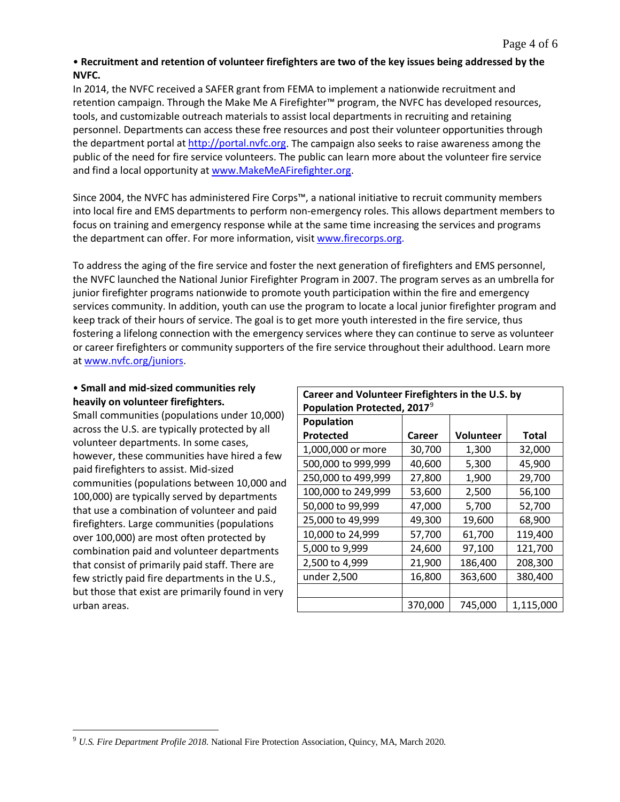### • **Recruitment and retention of volunteer firefighters are two of the key issues being addressed by the NVFC.**

In 2014, the NVFC received a SAFER grant from FEMA to implement a nationwide recruitment and retention campaign. Through the Make Me A Firefighter™ program, the NVFC has developed resources, tools, and customizable outreach materials to assist local departments in recruiting and retaining personnel. Departments can access these free resources and post their volunteer opportunities through the department portal at [http://portal.nvfc.org.](http://portal.nvfc.org/) The campaign also seeks to raise awareness among the public of the need for fire service volunteers. The public can learn more about the volunteer fire service and find a local opportunity at [www.MakeMeAFirefighter.org.](http://www.makemeafirefighter.org/)

Since 2004, the NVFC has administered Fire Corps™, a national initiative to recruit community members into local fire and EMS departments to perform non-emergency roles. This allows department members to focus on training and emergency response while at the same time increasing the services and programs the department can offer. For more information, visit [www.firecorps.org.](http://www.firecorps.org/)

To address the aging of the fire service and foster the next generation of firefighters and EMS personnel, the NVFC launched the National Junior Firefighter Program in 2007. The program serves as an umbrella for junior firefighter programs nationwide to promote youth participation within the fire and emergency services community. In addition, youth can use the program to locate a local junior firefighter program and keep track of their hours of service. The goal is to get more youth interested in the fire service, thus fostering a lifelong connection with the emergency services where they can continue to serve as volunteer or career firefighters or community supporters of the fire service throughout their adulthood. Learn more at [www.nvfc.org/juniors.](http://www.nvfc.org/juniors)

### • **Small and mid-sized communities rely heavily on volunteer firefighters.**

Small communities (populations under 10,000) across the U.S. are typically protected by all volunteer departments. In some cases, however, these communities have hired a few paid firefighters to assist. Mid-sized communities (populations between 10,000 and 100,000) are typically served by departments that use a combination of volunteer and paid firefighters. Large communities (populations over 100,000) are most often protected by combination paid and volunteer departments that consist of primarily paid staff. There are few strictly paid fire departments in the U.S., but those that exist are primarily found in very urban areas.

| Career and Volunteer Firefighters in the U.S. by<br>Population Protected, 2017 <sup>9</sup> |         |                  |              |  |
|---------------------------------------------------------------------------------------------|---------|------------------|--------------|--|
| Population                                                                                  |         |                  |              |  |
| Protected                                                                                   | Career  | <b>Volunteer</b> | <b>Total</b> |  |
| 1,000,000 or more                                                                           | 30,700  | 1,300            | 32,000       |  |
| 500,000 to 999,999                                                                          | 40,600  | 5,300            | 45,900       |  |
| 250,000 to 499,999                                                                          | 27,800  | 1,900            | 29,700       |  |
| 100,000 to 249,999                                                                          | 53,600  | 2,500            | 56,100       |  |
| 50,000 to 99,999                                                                            | 47,000  | 5,700            | 52,700       |  |
| 25,000 to 49,999                                                                            | 49,300  | 19,600           | 68,900       |  |
| 10,000 to 24,999                                                                            | 57,700  | 61,700           | 119,400      |  |
| 5,000 to 9,999                                                                              | 24,600  | 97,100           | 121,700      |  |
| 2,500 to 4,999                                                                              | 21,900  | 186,400          | 208,300      |  |
| under 2,500                                                                                 | 16,800  | 363,600          | 380,400      |  |
|                                                                                             |         |                  |              |  |
|                                                                                             | 370,000 | 745,000          | 1,115,000    |  |

<span id="page-3-0"></span><sup>9</sup> *U.S. Fire Department Profile 2018.* National Fire Protection Association, Quincy, MA, March 2020.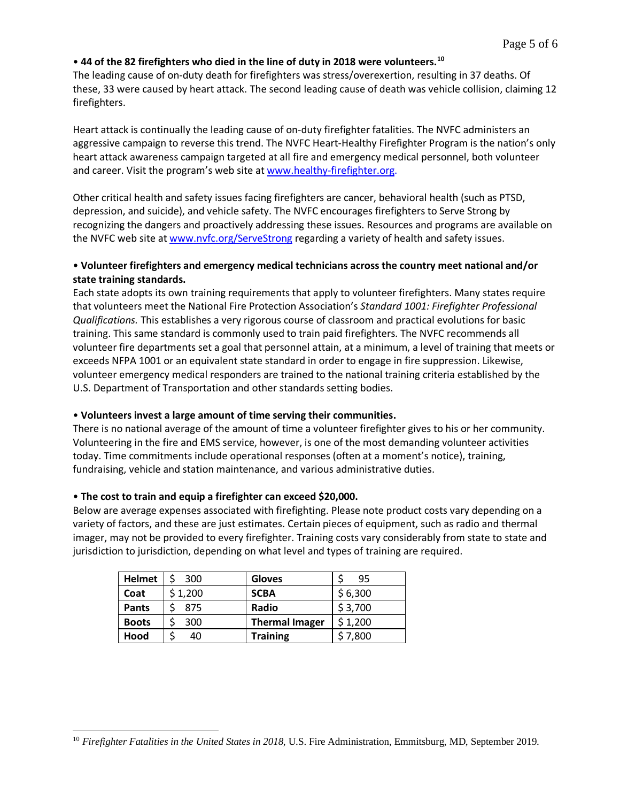#### • **44 of the 82 firefighters who died in the line of duty in 2018 were volunteers.[10](#page-4-0)**

The leading cause of on-duty death for firefighters was stress/overexertion, resulting in 37 deaths. Of these, 33 were caused by heart attack. The second leading cause of death was vehicle collision, claiming 12 firefighters.

Heart attack is continually the leading cause of on-duty firefighter fatalities. The NVFC administers an aggressive campaign to reverse this trend. The NVFC Heart-Healthy Firefighter Program is the nation's only heart attack awareness campaign targeted at all fire and emergency medical personnel, both volunteer and career. Visit the program's web site at [www.healthy-firefighter.org.](http://www.healthy-firefighter.org/)

Other critical health and safety issues facing firefighters are cancer, behavioral health (such as PTSD, depression, and suicide), and vehicle safety. The NVFC encourages firefighters to Serve Strong by recognizing the dangers and proactively addressing these issues. Resources and programs are available on the NVFC web site a[t www.nvfc.org/ServeStrong](http://www.nvfc.org/ServeStrong) regarding a variety of health and safety issues.

#### • **Volunteer firefighters and emergency medical technicians across the country meet national and/or state training standards.**

Each state adopts its own training requirements that apply to volunteer firefighters. Many states require that volunteers meet the National Fire Protection Association's *Standard 1001: Firefighter Professional Qualifications.* This establishes a very rigorous course of classroom and practical evolutions for basic training. This same standard is commonly used to train paid firefighters. The NVFC recommends all volunteer fire departments set a goal that personnel attain, at a minimum, a level of training that meets or exceeds NFPA 1001 or an equivalent state standard in order to engage in fire suppression. Likewise, volunteer emergency medical responders are trained to the national training criteria established by the U.S. Department of Transportation and other standards setting bodies.

#### • **Volunteers invest a large amount of time serving their communities.**

There is no national average of the amount of time a volunteer firefighter gives to his or her community. Volunteering in the fire and EMS service, however, is one of the most demanding volunteer activities today. Time commitments include operational responses (often at a moment's notice), training, fundraising, vehicle and station maintenance, and various administrative duties.

#### • **The cost to train and equip a firefighter can exceed \$20,000.**

Below are average expenses associated with firefighting. Please note product costs vary depending on a variety of factors, and these are just estimates. Certain pieces of equipment, such as radio and thermal imager, may not be provided to every firefighter. Training costs vary considerably from state to state and jurisdiction to jurisdiction, depending on what level and types of training are required.

| <b>Helmet</b> | 300     | <b>Gloves</b>         | 95      |
|---------------|---------|-----------------------|---------|
| Coat          | \$1,200 | <b>SCBA</b>           | \$6,300 |
| <b>Pants</b>  | 875     | Radio                 | \$3,700 |
| <b>Boots</b>  | 300     | <b>Thermal Imager</b> | \$1,200 |
| Hood          | 40      | <b>Training</b>       | 5 7,800 |

<span id="page-4-0"></span><sup>10</sup> *Firefighter Fatalities in the United States in 2018,* U.S. Fire Administration, Emmitsburg, MD, September 2019.